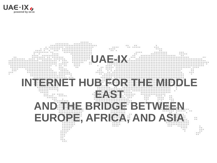

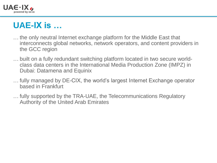

# **UAE-IX is …**

- … the only neutral Internet exchange platform for the Middle East that interconnects global networks, network operators, and content providers in the GCC region
- … built on a fully redundant switching platform located in two secure worldclass data centers in the International Media Production Zone (IMPZ) in Dubai: Datamena and Equinix
- … fully managed by DE-CIX, the world's largest Internet Exchange operator based in Frankfurt
- … fully supported by the TRA-UAE, the Telecommunications Regulatory Authority of the United Arab Emirates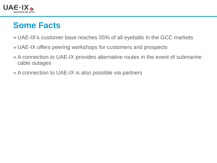

## **Some Facts**

- » UAE-IX's customer base reaches 55% of all eyeballs in the GCC markets
- » UAE-IX offers peering workshops for customers and prospects
- » A connection to UAE-IX provides alternative routes in the event of submarine cable outages
- » A connection to UAE-IX is also possible via partners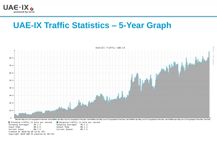

□ Incoming traffic in bits per second

Created at 2018-02-26 12:51 UTC Copyright 2018 UAE-IX powered by DE-CIX

 $35.1<sub>G</sub>$ 

88.4 G

86.7 G

Incoming averaged

Input Peak

Current Input

#### **UAE-IX Traffic Statistics – 5-Year Graph**

Outgoing traffic in bits per second

 $35.1G$ 

89.1 G

86.7 G

Outgoing averaged

Output Peak

Current Output



TOBI OETIKE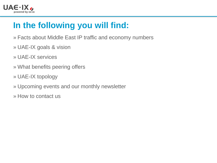

# **In the following you will find:**

- » Facts about Middle East IP traffic and economy numbers
- » UAE-IX goals & vision
- » UAE-IX services
- » What benefits peering offers
- » UAE-IX topology
- » Upcoming events and our monthly newsletter
- » How to contact us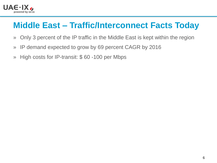

## **Middle East – Traffic/Interconnect Facts Today**

- » Only 3 percent of the IP traffic in the Middle East is kept within the region
- » IP demand expected to grow by 69 percent CAGR by 2016
- » High costs for IP-transit: \$ 60 -100 per Mbps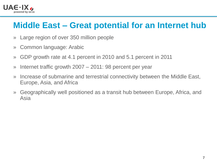

#### **Middle East – Great potential for an Internet hub**

- » Large region of over 350 million people
- » Common language: Arabic
- » GDP growth rate at 4.1 percent in 2010 and 5.1 percent in 2011
- » Internet traffic growth 2007 2011: 98 percent per year
- » Increase of submarine and terrestrial connectivity between the Middle East, Europe, Asia, and Africa
- » Geographically well positioned as a transit hub between Europe, Africa, and Asia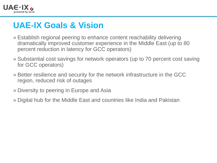

#### **UAE-IX Goals & Vision**

- » Establish regional peering to enhance content reachability delivering dramatically improved customer experience in the Middle East (up to 80 percent reduction in latency for GCC operators)
- » Substantial cost savings for network operators (up to 70 percent cost saving for GCC operators)
- » Better resilience and security for the network infrastructure in the GCC region, reduced risk of outages
- » Diversity to peering in Europe and Asia
- » Digital hub for the Middle East and countries like India and Pakistan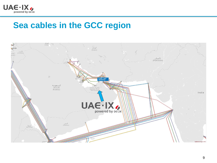

#### **Sea cables in the GCC region**

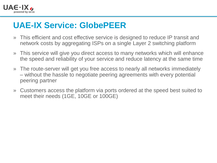

## **UAE-IX Service: GlobePEER**

- » This efficient and cost effective service is designed to reduce IP transit and network costs by aggregating ISPs on a single Layer 2 switching platform
- » This service will give you direct access to many networks which will enhance the speed and reliability of your service and reduce latency at the same time
- » The route-server will get you free access to nearly all networks immediately – without the hassle to negotiate peering agreements with every potential peering partner
- » Customers access the platform via ports ordered at the speed best suited to meet their needs (1GE, 10GE or 100GE)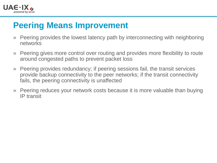

#### **Peering Means Improvement**

- » Peering provides the lowest latency path by interconnecting with neighboring networks
- » Peering gives more control over routing and provides more flexibility to route around congested paths to prevent packet loss
- » Peering provides redundancy; if peering sessions fail, the transit services provide backup connectivity to the peer networks; if the transit connectivity fails, the peering connectivity is unaffected
- » Peering reduces your network costs because it is more valuable than buying IP transit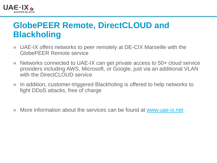

#### **GlobePEER Remote, DirectCLOUD and Blackholing**

- » UAE-IX offers networks to peer remotely at DE-CIX Marseille with the GlobePEER Remote service
- » Networks connected to UAE-IX can get private access to 50+ cloud service providers including AWS, Microsoft, or Google, just via an additional VLAN with the DirectCLOUD service
- » In addition, customer-triggered Blackholing is offered to help networks to fight DDoS attacks, free of charge
- » More information about the services can be found at [www.uae-ix.net](http://www.uae-ix.net/)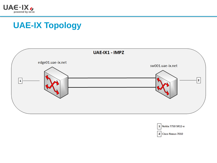

## **UAE-IX Topology**



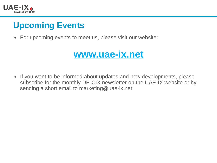

# **Upcoming Events**

» For upcoming events to meet us, please visit our website:



» If you want to be informed about updates and new developments, please subscribe for the monthly DE-CIX newsletter on the UAE-IX website or by sending a short email to marketing@uae-ix.net